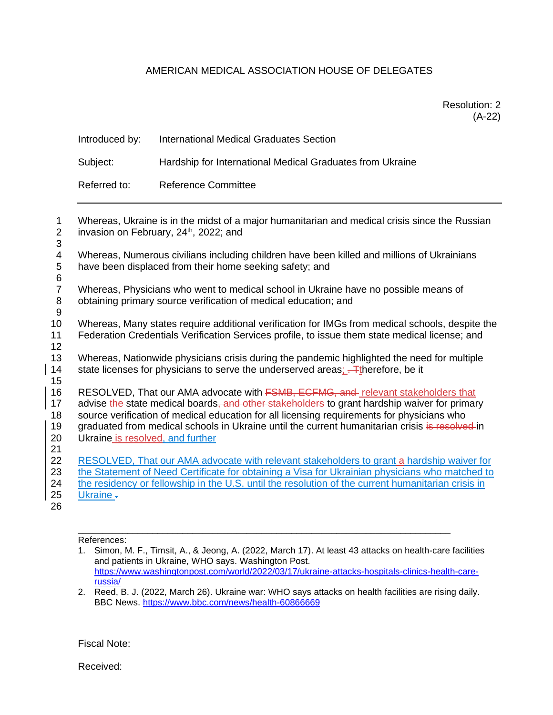## AMERICAN MEDICAL ASSOCIATION HOUSE OF DELEGATES

Resolution: 2 (A-22)

| Introduced by: | International Medical Graduates Section                   |
|----------------|-----------------------------------------------------------|
| Subject:       | Hardship for International Medical Graduates from Ukraine |
| Referred to:   | <b>Reference Committee</b>                                |

| 1<br>$\overline{2}$<br>3 | Whereas, Ukraine is in the midst of a major humanitarian and medical crisis since the Russian<br>invasion on February, 24 <sup>th</sup> , 2022; and   |
|--------------------------|-------------------------------------------------------------------------------------------------------------------------------------------------------|
| 4<br>5                   | Whereas, Numerous civilians including children have been killed and millions of Ukrainians<br>have been displaced from their home seeking safety; and |
| $\,6$                    |                                                                                                                                                       |
| $\overline{7}$           | Whereas, Physicians who went to medical school in Ukraine have no possible means of                                                                   |
| 8<br>9                   | obtaining primary source verification of medical education; and                                                                                       |
| 10                       | Whereas, Many states require additional verification for IMGs from medical schools, despite the                                                       |
| 11<br>12                 | Federation Credentials Verification Services profile, to issue them state medical license; and                                                        |
| 13                       | Whereas, Nationwide physicians crisis during the pandemic highlighted the need for multiple                                                           |
| 14<br>15                 | state licenses for physicians to serve the underserved areas; Therefore, be it                                                                        |
| 16                       | RESOLVED, That our AMA advocate with <b>FSMB, ECFMG, and</b> relevant stakeholders that                                                               |
| 17                       | advise the-state medical boards, and other stakeholders to grant hardship waiver for primary                                                          |
| 18                       | source verification of medical education for all licensing requirements for physicians who                                                            |
| 19<br>20                 | graduated from medical schools in Ukraine until the current humanitarian crisis is resolved in<br>Ukraine is resolved, and further                    |
| 21                       |                                                                                                                                                       |
| 22                       | RESOLVED, That our AMA advocate with relevant stakeholders to grant a hardship waiver for                                                             |
| 23                       | the Statement of Need Certificate for obtaining a Visa for Ukrainian physicians who matched to                                                        |
| 24                       | the residency or fellowship in the U.S. until the resolution of the current humanitarian crisis in                                                    |
| 25                       | Ukraine -                                                                                                                                             |
| 26                       |                                                                                                                                                       |

References:

\_\_\_\_\_\_\_\_\_\_\_\_\_\_\_\_\_\_\_\_\_\_\_\_\_\_\_\_\_\_\_\_\_\_\_\_\_\_\_\_\_\_\_\_\_\_\_\_\_\_\_\_\_\_\_\_\_\_\_\_\_\_\_\_\_\_\_\_\_\_\_\_\_\_\_

Fiscal Note:

Received:

<sup>1.</sup> Simon, M. F., Timsit, A., & Jeong, A. (2022, March 17). At least 43 attacks on health-care facilities and patients in Ukraine, WHO says. Washington Post. [https://www.washingtonpost.com/world/2022/03/17/ukraine-attacks-hospitals-clinics-health-care](https://www.washingtonpost.com/world/2022/03/17/ukraine-attacks-hospitals-clinics-health-care-russia/)[russia/](https://www.washingtonpost.com/world/2022/03/17/ukraine-attacks-hospitals-clinics-health-care-russia/)

<sup>2.</sup> Reed, B. J. (2022, March 26). Ukraine war: WHO says attacks on health facilities are rising daily. BBC News.<https://www.bbc.com/news/health-60866669>